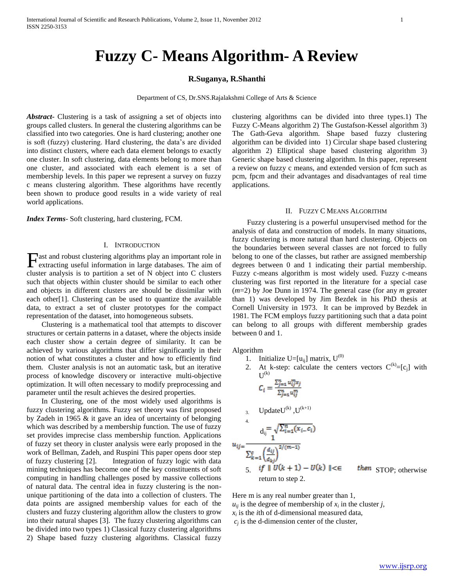# **Fuzzy C- Means Algorithm- A Review**

## **R.Suganya, R.Shanthi**

Department of CS, Dr.SNS.Rajalakshmi College of Arts & Science

*Abstract***-** Clustering is a task of assigning a set of objects into groups called clusters. In general the clustering algorithms can be classified into two categories. One is hard clustering; another one is soft (fuzzy) clustering. Hard clustering, the data's are divided into distinct clusters, where each data element belongs to exactly one cluster. In soft clustering, data elements belong to more than one cluster, and associated with each element is a set of membership levels. In this paper we represent a survey on fuzzy c means clustering algorithm. These algorithms have recently been shown to produce good results in a wide variety of real world applications.

*Index Terms*- Soft clustering, hard clustering, FCM.

## I. INTRODUCTION

ast and robust clustering algorithms play an important role in **F**ast and robust clustering algorithms play an important role in extracting useful information in large databases. The aim of cluster analysis is to partition a set of N object into C clusters such that objects within cluster should be similar to each other and objects in different clusters are should be dissimilar with each other[1]. Clustering can be used to quantize the available data, to extract a set of cluster prototypes for the compact representation of the dataset, into homogeneous subsets.

 Clustering is a mathematical tool that attempts to discover structures or certain patterns in a dataset, where the objects inside each cluster show a certain degree of similarity. It can be achieved by various algorithms that differ significantly in their notion of what constitutes a cluster and how to efficiently find them. Cluster analysis is not an automatic task, but an iterative process of knowledge discovery or interactive multi-objective optimization. It will often necessary to modify preprocessing and parameter until the result achieves the desired properties.

 In Clustering, one of the most widely used algorithms is fuzzy clustering algorithms. Fuzzy set theory was first proposed by Zadeh in 1965 & it gave an idea of uncertainty of belonging which was described by a membership function. The use of fuzzy set provides imprecise class membership function. Applications of fuzzy set theory in cluster analysis were early proposed in the work of Bellman, Zadeh, and Ruspini This paper opens door step of fuzzy clustering [2]. Integration of fuzzy logic with data mining techniques has become one of the key constituents of soft computing in handling challenges posed by massive collections of natural data. The central idea in fuzzy clustering is the nonunique partitioning of the data into a collection of clusters. The data points are assigned membership values for each of the clusters and fuzzy clustering algorithm allow the clusters to grow into their natural shapes [3]. The fuzzy clustering algorithms can be divided into two types 1) Classical fuzzy clustering algorithms 2) Shape based fuzzy clustering algorithms. Classical fuzzy

clustering algorithms can be divided into three types.1) The Fuzzy C-Means algorithm 2) The Gustafson-Kessel algorithm 3) The Gath-Geva algorithm. Shape based fuzzy clustering algorithm can be divided into 1) Circular shape based clustering algorithm 2) Elliptical shape based clustering algorithm 3) Generic shape based clustering algorithm. In this paper, represent a review on fuzzy c means, and extended version of fcm such as pcm, fpcm and their advantages and disadvantages of real time applications.

#### II. FUZZY C MEANS ALGORITHM

 Fuzzy clustering is a powerful unsupervised method for the analysis of data and construction of models. In many situations, fuzzy clustering is more natural than hard clustering. Objects on the boundaries between several classes are not forced to fully belong to one of the classes, but rather are assigned membership degrees between 0 and 1 indicating their partial membership. Fuzzy c-means algorithm is most widely used. Fuzzy c-means clustering was first reported in the literature for a special case (*m*=2) by Joe Dunn in 1974. The general case (for any *m* greater than 1) was developed by Jim Bezdek in his PhD thesis at Cornell University in 1973. It can be improved by Bezdek in 1981. The FCM employs fuzzy partitioning such that a data point can belong to all groups with different membership grades between 0 and 1.

Algorithm

- 1. Initialize  $U=[u_{ij}]$  matrix,  $U^{(0)}$
- 2. At k-step: calculate the centers vectors  $C^{(k)} = [c_i]$  with  $\text{U}^{(\text{k})}$

$$
C_i = \frac{\sum_{j=1}^n u_{ij}^m x_j}{\sum_{j=1}^n u_{ij}^m}
$$

3. UpdateU<sup>(k)</sup>, U<sup>(k+1)</sup>  
\n4.  
\n
$$
d_{ij} = \sqrt{\sum_{i=1}^{n} (x_i - c_i)}
$$
\n
$$
u_{ij} = \frac{1}{\sum_{k=1}^{c} \left(\frac{d_{ij}}{d_{kj}}\right)^{2/(m-1)}}
$$
\n5. if ||U(k + 1) - U(k) ||  $\leq$  return to step 2.

then STOP; otherwise

Here m is any real number greater than 1,  $u_{ij}$  is the degree of membership of  $x_i$  in the cluster *j*,  $x_i$  is the *i*th of d-dimensional measured data,

 $c_j$  is the d-dimension center of the cluster,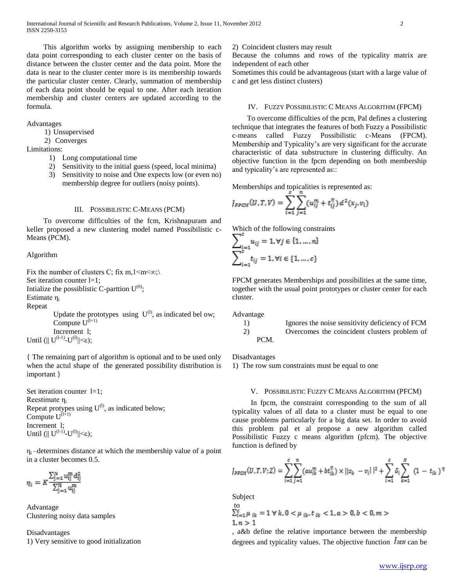This algorithm works by assigning membership to each data point corresponding to each cluster center on the basis of distance between the cluster center and the data point. More the data is near to the cluster center more is its membership towards the particular cluster center. Clearly, summation of membership of each data point should be equal to one. After each iteration membership and cluster centers are updated according to the formula.

## Advantages

1) Unsupervised

2) Converges

## Limitations:

- 1) Long computational time
- 2) Sensitivity to the initial guess (speed, local minima)
- 3) Sensitivity to noise and One expects low (or even no) membership degree for outliers (noisy points).

#### III. POSSIBILISTIC C-MEANS (PCM)

 To overcome difficulties of the fcm, Krishnapuram and keller proposed a new clustering model named Possibilistic c-Means (PCM).

#### Algorithm

Fix the number of clusters C; fix m,1 $\leq m \leq \infty$ ; Set iteration counter l=1; Intialize the possiblistic C-parttion  $U^{(0)}$ ; Estimate η<sup>i</sup>

Repeat

Update the prototypes using  $U^{(l)}$ , as indicated bel ow; Compute  $U^{(l+1)}$ Increment l; Until  $(||U^{(l-1)}-U^{(l)}||<\varepsilon$ );

{ The remaining part of algorithm is optional and to be used only when the actul shape of the generated possibility distribution is important }

Set iteration counter  $l=1$ ; Reestimate η<sub>i</sub> Repeat protypes using  $U^{(l)}$ , as indicated below; Compute  $U^{(l+1)}$ Increment l; Until  $(||U^{(l-1)}-U^{(l)}||<\varepsilon$ );

 $\eta_i$ -determines distance at which the membership value of a point in a cluster becomes 0.5.

$$
\eta_i = K \frac{\sum_{j=1}^{N} u_{ij}^{m} d_{ij}^{2}}{\sum_{j=1}^{N} u_{ij}^{m}}
$$

Advantage Clustering noisy data samples

Disadvantages 1) Very sensitive to good initialization

## 2) Coincident clusters may result

Because the columns and rows of the typicality matrix are independent of each other

Sometimes this could be advantageous (start with a large value of c and get less distinct clusters)

## IV. FUZZY POSSIBILISTIC C MEANS ALGORITHM (FPCM)

 To overcome difficulties of the pcm, Pal defines a clustering technique that integrates the features of both Fuzzy a Possibilistic c-means called Fuzzy Possibilistic c-Means (FPCM). Membership and Typicality's are very significant for the accurate characteristic of data substructure in clustering difficulty. An objective function in the fpcm depending on both membership and typicality's are represented as::

Memberships and topicalities is represented as:

$$
J_{FPCM}(U, T, V) = \sum_{i=1}^{N} \sum_{j=1}^{n} (u_{ij}^{m} + t_{ij}^{n}) d^{2}(x_{j}, v_{i})
$$

Which of the following constraints

$$
\sum_{i=1}^{i=1} u_{ij} = 1, \forall j \in \{1, ..., n\}
$$

$$
\sum_{i=1}^{c} t_{ij} = 1, \forall i \in \{1, ..., c\}
$$

FPCM generates Memberships and possibilities at the same time, together with the usual point prototypes or cluster center for each cluster.

Advantage

## 1) Ignores the noise sensitivity deficiency of FCM 2) Overcomes the coincident clusters problem of PCM.

Disadvantages

1) The row sum constraints must be equal to one

#### V. POSSIBILISTIC FUZZY C MEANS ALGORITHM (PFCM)

 In fpcm, the constraint corresponding to the sum of all typicality values of all data to a cluster must be equal to one cause problems particularly for a big data set. In order to avoid this problem pal et al propose a new algorithm called Possibilistic Fuzzy c means algorithm (pfcm). The objective function is defined by

$$
J_{PFCM}(U, T, V; Z) = \sum_{i=1}^{c} \sum_{j=1}^{n} (au_{ik}^{m} + bt_{ik}^{n}) \times ||z_{k} - v_{i}||^{2} + \sum_{i=1}^{c} \delta_{i} \sum_{k=1}^{N} (1 - t_{ik})^{n}
$$

Subject

to  

$$
\sum_{i=1}^{c} \mu_{ik} = 1 \forall k, 0 < \mu_{ik}, t_{ik} < 1, a > 0, b < 0, m > 1, n > 1
$$

, a&b define the relative importance between the membership degrees and typicality values. The objective function  $\frac{\partial M}{\partial x}$  can be